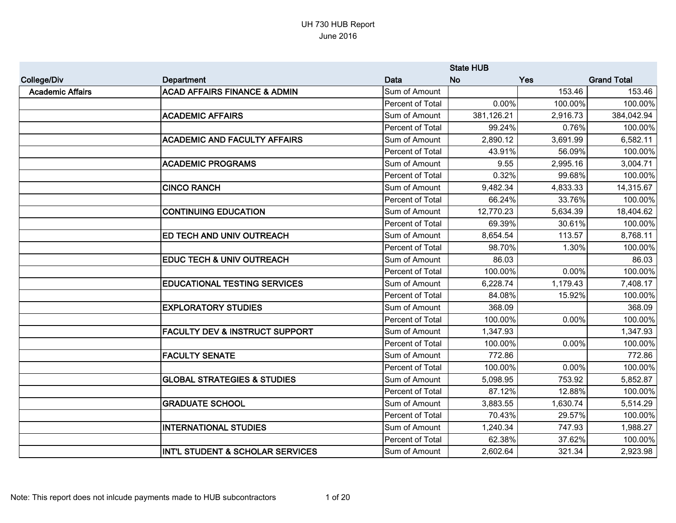|                         |                                             |                         | <b>State HUB</b> |            |                    |
|-------------------------|---------------------------------------------|-------------------------|------------------|------------|--------------------|
| <b>College/Div</b>      | Department                                  | Data                    | <b>No</b>        | <b>Yes</b> | <b>Grand Total</b> |
| <b>Academic Affairs</b> | <b>ACAD AFFAIRS FINANCE &amp; ADMIN</b>     | Sum of Amount           |                  | 153.46     | 153.46             |
|                         |                                             | Percent of Total        | 0.00%            | 100.00%    | 100.00%            |
|                         | <b>ACADEMIC AFFAIRS</b>                     | Sum of Amount           | 381,126.21       | 2,916.73   | 384,042.94         |
|                         |                                             | Percent of Total        | 99.24%           | 0.76%      | 100.00%            |
|                         | <b>ACADEMIC AND FACULTY AFFAIRS</b>         | Sum of Amount           | 2,890.12         | 3,691.99   | 6,582.11           |
|                         |                                             | Percent of Total        | 43.91%           | 56.09%     | 100.00%            |
|                         | <b>ACADEMIC PROGRAMS</b>                    | Sum of Amount           | 9.55             | 2,995.16   | 3,004.71           |
|                         |                                             | Percent of Total        | 0.32%            | 99.68%     | 100.00%            |
|                         | <b>CINCO RANCH</b>                          | Sum of Amount           | 9,482.34         | 4,833.33   | 14,315.67          |
|                         |                                             | Percent of Total        | 66.24%           | 33.76%     | 100.00%            |
|                         | <b>CONTINUING EDUCATION</b>                 | Sum of Amount           | 12,770.23        | 5,634.39   | 18,404.62          |
|                         |                                             | Percent of Total        | 69.39%           | 30.61%     | 100.00%            |
|                         | <b>ED TECH AND UNIV OUTREACH</b>            | Sum of Amount           | 8,654.54         | 113.57     | 8,768.11           |
|                         |                                             | Percent of Total        | 98.70%           | 1.30%      | 100.00%            |
|                         | EDUC TECH & UNIV OUTREACH                   | Sum of Amount           | 86.03            |            | 86.03              |
|                         |                                             | Percent of Total        | 100.00%          | 0.00%      | 100.00%            |
|                         | <b>EDUCATIONAL TESTING SERVICES</b>         | Sum of Amount           | 6,228.74         | 1,179.43   | 7,408.17           |
|                         |                                             | Percent of Total        | 84.08%           | 15.92%     | 100.00%            |
|                         | <b>EXPLORATORY STUDIES</b>                  | Sum of Amount           | 368.09           |            | 368.09             |
|                         |                                             | Percent of Total        | 100.00%          | 0.00%      | 100.00%            |
|                         | <b>FACULTY DEV &amp; INSTRUCT SUPPORT</b>   | Sum of Amount           | 1,347.93         |            | 1,347.93           |
|                         |                                             | Percent of Total        | 100.00%          | 0.00%      | 100.00%            |
|                         | <b>FACULTY SENATE</b>                       | Sum of Amount           | 772.86           |            | 772.86             |
|                         |                                             | Percent of Total        | 100.00%          | 0.00%      | 100.00%            |
|                         | <b>GLOBAL STRATEGIES &amp; STUDIES</b>      | Sum of Amount           | 5,098.95         | 753.92     | 5,852.87           |
|                         |                                             | Percent of Total        | 87.12%           | 12.88%     | 100.00%            |
|                         | <b>GRADUATE SCHOOL</b>                      | Sum of Amount           | 3,883.55         | 1,630.74   | 5,514.29           |
|                         |                                             | Percent of Total        | 70.43%           | 29.57%     | 100.00%            |
|                         | <b>INTERNATIONAL STUDIES</b>                | Sum of Amount           | 1,240.34         | 747.93     | 1,988.27           |
|                         |                                             | <b>Percent of Total</b> | 62.38%           | 37.62%     | 100.00%            |
|                         | <b>INT'L STUDENT &amp; SCHOLAR SERVICES</b> | Sum of Amount           | 2,602.64         | 321.34     | 2,923.98           |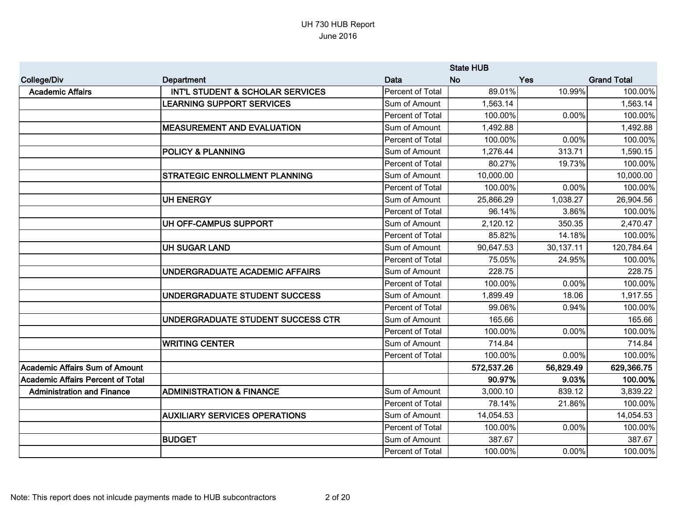|                                          |                                      |                         | <b>State HUB</b> |            |                    |
|------------------------------------------|--------------------------------------|-------------------------|------------------|------------|--------------------|
| <b>College/Div</b>                       | Department                           | Data                    | <b>No</b>        | <b>Yes</b> | <b>Grand Total</b> |
| <b>Academic Affairs</b>                  | INT'L STUDENT & SCHOLAR SERVICES     | Percent of Total        | 89.01%           | 10.99%     | 100.00%            |
|                                          | <b>LEARNING SUPPORT SERVICES</b>     | Sum of Amount           | 1,563.14         |            | 1,563.14           |
|                                          |                                      | Percent of Total        | 100.00%          | 0.00%      | 100.00%            |
|                                          | <b>MEASUREMENT AND EVALUATION</b>    | Sum of Amount           | 1,492.88         |            | 1,492.88           |
|                                          |                                      | Percent of Total        | 100.00%          | 0.00%      | 100.00%            |
|                                          | <b>POLICY &amp; PLANNING</b>         | Sum of Amount           | 1,276.44         | 313.71     | 1,590.15           |
|                                          |                                      | Percent of Total        | 80.27%           | 19.73%     | 100.00%            |
|                                          | <b>STRATEGIC ENROLLMENT PLANNING</b> | Sum of Amount           | 10,000.00        |            | 10,000.00          |
|                                          |                                      | <b>Percent of Total</b> | 100.00%          | 0.00%      | 100.00%            |
|                                          | <b>UH ENERGY</b>                     | Sum of Amount           | 25,866.29        | 1,038.27   | 26,904.56          |
|                                          |                                      | Percent of Total        | 96.14%           | 3.86%      | 100.00%            |
|                                          | UH OFF-CAMPUS SUPPORT                | Sum of Amount           | 2,120.12         | 350.35     | 2,470.47           |
|                                          |                                      | Percent of Total        | 85.82%           | 14.18%     | 100.00%            |
|                                          | <b>UH SUGAR LAND</b>                 | Sum of Amount           | 90,647.53        | 30,137.11  | 120,784.64         |
|                                          |                                      | Percent of Total        | 75.05%           | 24.95%     | 100.00%            |
|                                          | UNDERGRADUATE ACADEMIC AFFAIRS       | Sum of Amount           | 228.75           |            | 228.75             |
|                                          |                                      | Percent of Total        | 100.00%          | 0.00%      | 100.00%            |
|                                          | UNDERGRADUATE STUDENT SUCCESS        | Sum of Amount           | 1,899.49         | 18.06      | 1,917.55           |
|                                          |                                      | Percent of Total        | 99.06%           | 0.94%      | 100.00%            |
|                                          | UNDERGRADUATE STUDENT SUCCESS CTR    | Sum of Amount           | 165.66           |            | 165.66             |
|                                          |                                      | Percent of Total        | 100.00%          | 0.00%      | 100.00%            |
|                                          | <b>WRITING CENTER</b>                | Sum of Amount           | 714.84           |            | 714.84             |
|                                          |                                      | Percent of Total        | 100.00%          | 0.00%      | 100.00%            |
| <b>Academic Affairs Sum of Amount</b>    |                                      |                         | 572,537.26       | 56,829.49  | 629,366.75         |
| <b>Academic Affairs Percent of Total</b> |                                      |                         | 90.97%           | 9.03%      | 100.00%            |
| <b>Administration and Finance</b>        | <b>ADMINISTRATION &amp; FINANCE</b>  | Sum of Amount           | 3,000.10         | 839.12     | 3,839.22           |
|                                          |                                      | Percent of Total        | 78.14%           | 21.86%     | 100.00%            |
|                                          | <b>AUXILIARY SERVICES OPERATIONS</b> | Sum of Amount           | 14,054.53        |            | 14,054.53          |
|                                          |                                      | Percent of Total        | 100.00%          | 0.00%      | 100.00%            |
|                                          | <b>BUDGET</b>                        | Sum of Amount           | 387.67           |            | 387.67             |
|                                          |                                      | Percent of Total        | 100.00%          | 0.00%      | 100.00%            |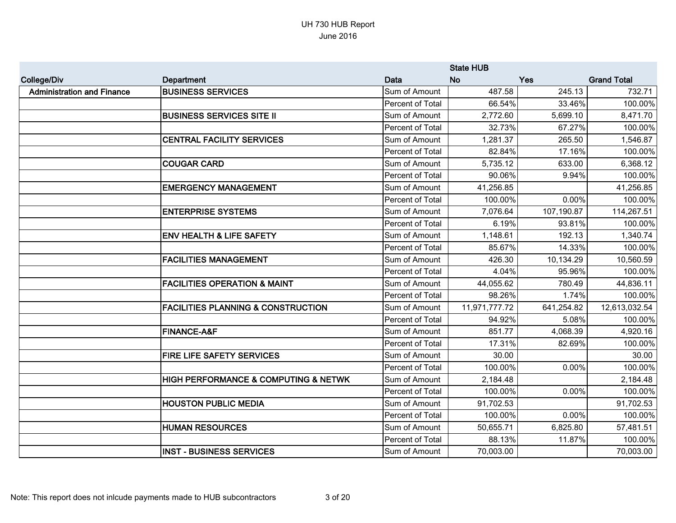|                                   |                                               | <b>State HUB</b> |               |            |                    |
|-----------------------------------|-----------------------------------------------|------------------|---------------|------------|--------------------|
| <b>College/Div</b>                | Department                                    | Data             | <b>No</b>     | <b>Yes</b> | <b>Grand Total</b> |
| <b>Administration and Finance</b> | <b>BUSINESS SERVICES</b>                      | Sum of Amount    | 487.58        | 245.13     | 732.71             |
|                                   |                                               | Percent of Total | 66.54%        | 33.46%     | 100.00%            |
|                                   | <b>BUSINESS SERVICES SITE II</b>              | Sum of Amount    | 2,772.60      | 5,699.10   | 8,471.70           |
|                                   |                                               | Percent of Total | 32.73%        | 67.27%     | 100.00%            |
|                                   | <b>CENTRAL FACILITY SERVICES</b>              | Sum of Amount    | 1,281.37      | 265.50     | 1,546.87           |
|                                   |                                               | Percent of Total | 82.84%        | 17.16%     | 100.00%            |
|                                   | <b>COUGAR CARD</b>                            | Sum of Amount    | 5,735.12      | 633.00     | 6,368.12           |
|                                   |                                               | Percent of Total | 90.06%        | 9.94%      | 100.00%            |
|                                   | <b>EMERGENCY MANAGEMENT</b>                   | Sum of Amount    | 41,256.85     |            | 41,256.85          |
|                                   |                                               | Percent of Total | 100.00%       | 0.00%      | 100.00%            |
|                                   | <b>ENTERPRISE SYSTEMS</b>                     | Sum of Amount    | 7,076.64      | 107,190.87 | 114,267.51         |
|                                   |                                               | Percent of Total | 6.19%         | 93.81%     | 100.00%            |
|                                   | <b>ENV HEALTH &amp; LIFE SAFETY</b>           | Sum of Amount    | 1,148.61      | 192.13     | 1,340.74           |
|                                   |                                               | Percent of Total | 85.67%        | 14.33%     | 100.00%            |
|                                   | <b>FACILITIES MANAGEMENT</b>                  | Sum of Amount    | 426.30        | 10,134.29  | 10,560.59          |
|                                   |                                               | Percent of Total | 4.04%         | 95.96%     | 100.00%            |
|                                   | <b>FACILITIES OPERATION &amp; MAINT</b>       | Sum of Amount    | 44,055.62     | 780.49     | 44,836.11          |
|                                   |                                               | Percent of Total | 98.26%        | 1.74%      | 100.00%            |
|                                   | <b>FACILITIES PLANNING &amp; CONSTRUCTION</b> | Sum of Amount    | 11,971,777.72 | 641,254.82 | 12,613,032.54      |
|                                   |                                               | Percent of Total | 94.92%        | 5.08%      | 100.00%            |
|                                   | <b>FINANCE-A&amp;F</b>                        | Sum of Amount    | 851.77        | 4,068.39   | 4,920.16           |
|                                   |                                               | Percent of Total | 17.31%        | 82.69%     | 100.00%            |
|                                   | <b>FIRE LIFE SAFETY SERVICES</b>              | Sum of Amount    | 30.00         |            | 30.00              |
|                                   |                                               | Percent of Total | 100.00%       | 0.00%      | 100.00%            |
|                                   | HIGH PERFORMANCE & COMPUTING & NETWK          | Sum of Amount    | 2,184.48      |            | 2,184.48           |
|                                   |                                               | Percent of Total | 100.00%       | 0.00%      | 100.00%            |
|                                   | <b>HOUSTON PUBLIC MEDIA</b>                   | Sum of Amount    | 91,702.53     |            | 91,702.53          |
|                                   |                                               | Percent of Total | 100.00%       | 0.00%      | 100.00%            |
|                                   | <b>HUMAN RESOURCES</b>                        | Sum of Amount    | 50,655.71     | 6,825.80   | 57,481.51          |
|                                   |                                               | Percent of Total | 88.13%        | 11.87%     | 100.00%            |
|                                   | <b>INST - BUSINESS SERVICES</b>               | Sum of Amount    | 70,003.00     |            | 70,003.00          |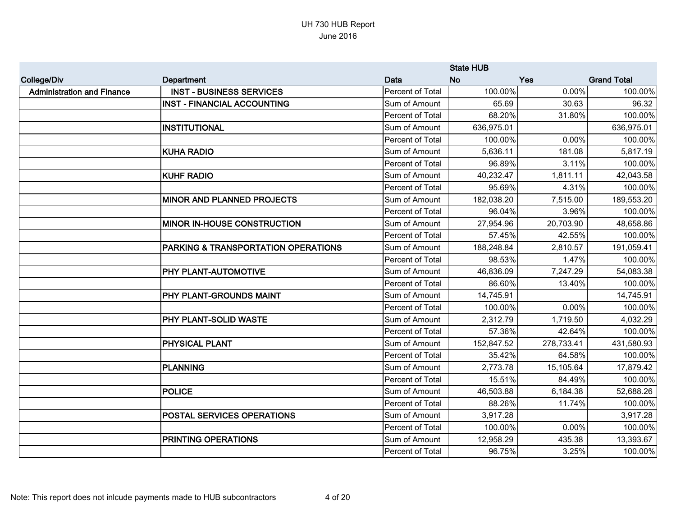|                                   |                                     |                  | <b>State HUB</b> |            |                    |
|-----------------------------------|-------------------------------------|------------------|------------------|------------|--------------------|
| <b>College/Div</b>                | <b>Department</b>                   | Data             | <b>No</b>        | <b>Yes</b> | <b>Grand Total</b> |
| <b>Administration and Finance</b> | <b>INST - BUSINESS SERVICES</b>     | Percent of Total | 100.00%          | 0.00%      | 100.00%            |
|                                   | <b>INST - FINANCIAL ACCOUNTING</b>  | Sum of Amount    | 65.69            | 30.63      | 96.32              |
|                                   |                                     | Percent of Total | 68.20%           | 31.80%     | 100.00%            |
|                                   | <b>INSTITUTIONAL</b>                | Sum of Amount    | 636,975.01       |            | 636,975.01         |
|                                   |                                     | Percent of Total | 100.00%          | 0.00%      | 100.00%            |
|                                   | <b>KUHA RADIO</b>                   | Sum of Amount    | 5,636.11         | 181.08     | 5,817.19           |
|                                   |                                     | Percent of Total | 96.89%           | 3.11%      | 100.00%            |
|                                   | <b>KUHF RADIO</b>                   | Sum of Amount    | 40,232.47        | 1,811.11   | 42,043.58          |
|                                   |                                     | Percent of Total | 95.69%           | 4.31%      | 100.00%            |
|                                   | <b>MINOR AND PLANNED PROJECTS</b>   | Sum of Amount    | 182,038.20       | 7,515.00   | 189,553.20         |
|                                   |                                     | Percent of Total | 96.04%           | 3.96%      | 100.00%            |
|                                   | <b>MINOR IN-HOUSE CONSTRUCTION</b>  | Sum of Amount    | 27,954.96        | 20,703.90  | 48,658.86          |
|                                   |                                     | Percent of Total | 57.45%           | 42.55%     | 100.00%            |
|                                   | PARKING & TRANSPORTATION OPERATIONS | Sum of Amount    | 188,248.84       | 2,810.57   | 191,059.41         |
|                                   |                                     | Percent of Total | 98.53%           | 1.47%      | 100.00%            |
|                                   | <b>PHY PLANT-AUTOMOTIVE</b>         | Sum of Amount    | 46,836.09        | 7,247.29   | 54,083.38          |
|                                   |                                     | Percent of Total | 86.60%           | 13.40%     | 100.00%            |
|                                   | PHY PLANT-GROUNDS MAINT             | Sum of Amount    | 14,745.91        |            | 14,745.91          |
|                                   |                                     | Percent of Total | 100.00%          | 0.00%      | 100.00%            |
|                                   | PHY PLANT-SOLID WASTE               | Sum of Amount    | 2,312.79         | 1,719.50   | 4,032.29           |
|                                   |                                     | Percent of Total | 57.36%           | 42.64%     | 100.00%            |
|                                   | <b>PHYSICAL PLANT</b>               | Sum of Amount    | 152,847.52       | 278,733.41 | 431,580.93         |
|                                   |                                     | Percent of Total | 35.42%           | 64.58%     | 100.00%            |
|                                   | <b>PLANNING</b>                     | Sum of Amount    | 2,773.78         | 15,105.64  | 17,879.42          |
|                                   |                                     | Percent of Total | 15.51%           | 84.49%     | 100.00%            |
|                                   | <b>POLICE</b>                       | Sum of Amount    | 46,503.88        | 6,184.38   | 52,688.26          |
|                                   |                                     | Percent of Total | 88.26%           | 11.74%     | 100.00%            |
|                                   | <b>POSTAL SERVICES OPERATIONS</b>   | Sum of Amount    | 3,917.28         |            | 3,917.28           |
|                                   |                                     | Percent of Total | 100.00%          | 0.00%      | 100.00%            |
|                                   | <b>PRINTING OPERATIONS</b>          | Sum of Amount    | 12,958.29        | 435.38     | 13,393.67          |
|                                   |                                     | Percent of Total | 96.75%           | 3.25%      | 100.00%            |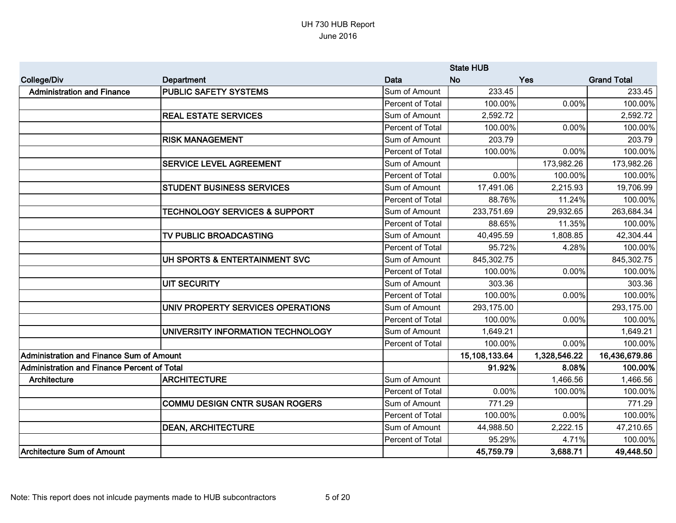|                                                    |                                          |                  | <b>State HUB</b> |              |                    |
|----------------------------------------------------|------------------------------------------|------------------|------------------|--------------|--------------------|
| <b>College/Div</b>                                 | <b>Department</b>                        | Data             | <b>No</b>        | Yes          | <b>Grand Total</b> |
| <b>Administration and Finance</b>                  | <b>PUBLIC SAFETY SYSTEMS</b>             | Sum of Amount    | 233.45           |              | 233.45             |
|                                                    |                                          | Percent of Total | 100.00%          | 0.00%        | 100.00%            |
|                                                    | <b>REAL ESTATE SERVICES</b>              | Sum of Amount    | 2,592.72         |              | 2,592.72           |
|                                                    |                                          | Percent of Total | 100.00%          | 0.00%        | 100.00%            |
|                                                    | <b>RISK MANAGEMENT</b>                   | Sum of Amount    | 203.79           |              | 203.79             |
|                                                    |                                          | Percent of Total | 100.00%          | 0.00%        | 100.00%            |
|                                                    | <b>SERVICE LEVEL AGREEMENT</b>           | Sum of Amount    |                  | 173,982.26   | 173,982.26         |
|                                                    |                                          | Percent of Total | 0.00%            | 100.00%      | 100.00%            |
|                                                    | <b>STUDENT BUSINESS SERVICES</b>         | Sum of Amount    | 17,491.06        | 2,215.93     | 19,706.99          |
|                                                    |                                          | Percent of Total | 88.76%           | 11.24%       | 100.00%            |
|                                                    | <b>TECHNOLOGY SERVICES &amp; SUPPORT</b> | Sum of Amount    | 233,751.69       | 29,932.65    | 263,684.34         |
|                                                    |                                          | Percent of Total | 88.65%           | 11.35%       | 100.00%            |
|                                                    | TV PUBLIC BROADCASTING                   | Sum of Amount    | 40,495.59        | 1,808.85     | 42,304.44          |
|                                                    |                                          | Percent of Total | 95.72%           | 4.28%        | 100.00%            |
|                                                    | UH SPORTS & ENTERTAINMENT SVC            | Sum of Amount    | 845,302.75       |              | 845,302.75         |
|                                                    |                                          | Percent of Total | 100.00%          | 0.00%        | 100.00%            |
|                                                    | <b>UIT SECURITY</b>                      | Sum of Amount    | 303.36           |              | 303.36             |
|                                                    |                                          | Percent of Total | 100.00%          | 0.00%        | 100.00%            |
|                                                    | UNIV PROPERTY SERVICES OPERATIONS        | Sum of Amount    | 293,175.00       |              | 293,175.00         |
|                                                    |                                          | Percent of Total | 100.00%          | 0.00%        | 100.00%            |
|                                                    | UNIVERSITY INFORMATION TECHNOLOGY        | Sum of Amount    | 1,649.21         |              | 1,649.21           |
|                                                    |                                          | Percent of Total | 100.00%          | 0.00%        | 100.00%            |
| <b>Administration and Finance Sum of Amount</b>    |                                          |                  | 15,108,133.64    | 1,328,546.22 | 16,436,679.86      |
| <b>Administration and Finance Percent of Total</b> |                                          |                  | 91.92%           | 8.08%        | 100.00%            |
| Architecture                                       | <b>ARCHITECTURE</b>                      | Sum of Amount    |                  | 1,466.56     | 1,466.56           |
|                                                    |                                          | Percent of Total | 0.00%            | 100.00%      | 100.00%            |
|                                                    | <b>COMMU DESIGN CNTR SUSAN ROGERS</b>    | Sum of Amount    | 771.29           |              | 771.29             |
|                                                    |                                          | Percent of Total | 100.00%          | 0.00%        | 100.00%            |
|                                                    | <b>DEAN, ARCHITECTURE</b>                | Sum of Amount    | 44,988.50        | 2,222.15     | 47,210.65          |
|                                                    |                                          | Percent of Total | 95.29%           | 4.71%        | 100.00%            |
| <b>Architecture Sum of Amount</b>                  |                                          |                  | 45,759.79        | 3,688.71     | 49,448.50          |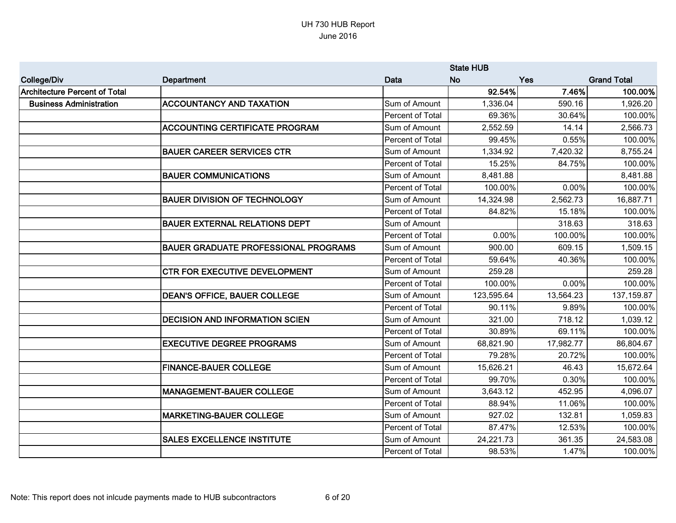|                                |                                             |                  | <b>State HUB</b> |            |                    |
|--------------------------------|---------------------------------------------|------------------|------------------|------------|--------------------|
| <b>College/Div</b>             | Department                                  | <b>Data</b>      | <b>No</b>        | <b>Yes</b> | <b>Grand Total</b> |
| Architecture Percent of Total  |                                             |                  | 92.54%           | 7.46%      | 100.00%            |
| <b>Business Administration</b> | <b>ACCOUNTANCY AND TAXATION</b>             | Sum of Amount    | 1,336.04         | 590.16     | 1,926.20           |
|                                |                                             | Percent of Total | 69.36%           | 30.64%     | 100.00%            |
|                                | <b>ACCOUNTING CERTIFICATE PROGRAM</b>       | Sum of Amount    | 2,552.59         | 14.14      | 2,566.73           |
|                                |                                             | Percent of Total | 99.45%           | 0.55%      | 100.00%            |
|                                | <b>BAUER CAREER SERVICES CTR</b>            | Sum of Amount    | 1,334.92         | 7,420.32   | 8,755.24           |
|                                |                                             | Percent of Total | 15.25%           | 84.75%     | 100.00%            |
|                                | <b>BAUER COMMUNICATIONS</b>                 | Sum of Amount    | 8,481.88         |            | 8,481.88           |
|                                |                                             | Percent of Total | 100.00%          | 0.00%      | 100.00%            |
|                                | <b>BAUER DIVISION OF TECHNOLOGY</b>         | Sum of Amount    | 14,324.98        | 2,562.73   | 16,887.71          |
|                                |                                             | Percent of Total | 84.82%           | 15.18%     | 100.00%            |
|                                | BAUER EXTERNAL RELATIONS DEPT               | Sum of Amount    |                  | 318.63     | 318.63             |
|                                |                                             | Percent of Total | 0.00%            | 100.00%    | 100.00%            |
|                                | <b>BAUER GRADUATE PROFESSIONAL PROGRAMS</b> | Sum of Amount    | 900.00           | 609.15     | 1,509.15           |
|                                |                                             | Percent of Total | 59.64%           | 40.36%     | 100.00%            |
|                                | <b>CTR FOR EXECUTIVE DEVELOPMENT</b>        | Sum of Amount    | 259.28           |            | 259.28             |
|                                |                                             | Percent of Total | 100.00%          | 0.00%      | 100.00%            |
|                                | <b>DEAN'S OFFICE, BAUER COLLEGE</b>         | Sum of Amount    | 123,595.64       | 13,564.23  | 137, 159.87        |
|                                |                                             | Percent of Total | 90.11%           | 9.89%      | 100.00%            |
|                                | <b>DECISION AND INFORMATION SCIEN</b>       | Sum of Amount    | 321.00           | 718.12     | 1,039.12           |
|                                |                                             | Percent of Total | 30.89%           | 69.11%     | 100.00%            |
|                                | <b>EXECUTIVE DEGREE PROGRAMS</b>            | Sum of Amount    | 68,821.90        | 17,982.77  | 86,804.67          |
|                                |                                             | Percent of Total | 79.28%           | 20.72%     | 100.00%            |
|                                | <b>FINANCE-BAUER COLLEGE</b>                | Sum of Amount    | 15,626.21        | 46.43      | 15,672.64          |
|                                |                                             | Percent of Total | 99.70%           | 0.30%      | 100.00%            |
|                                | <b>MANAGEMENT-BAUER COLLEGE</b>             | Sum of Amount    | 3,643.12         | 452.95     | 4,096.07           |
|                                |                                             | Percent of Total | 88.94%           | 11.06%     | 100.00%            |
|                                | <b>MARKETING-BAUER COLLEGE</b>              | Sum of Amount    | 927.02           | 132.81     | 1,059.83           |
|                                |                                             | Percent of Total | 87.47%           | 12.53%     | 100.00%            |
|                                | <b>SALES EXCELLENCE INSTITUTE</b>           | Sum of Amount    | 24,221.73        | 361.35     | 24,583.08          |
|                                |                                             | Percent of Total | 98.53%           | 1.47%      | 100.00%            |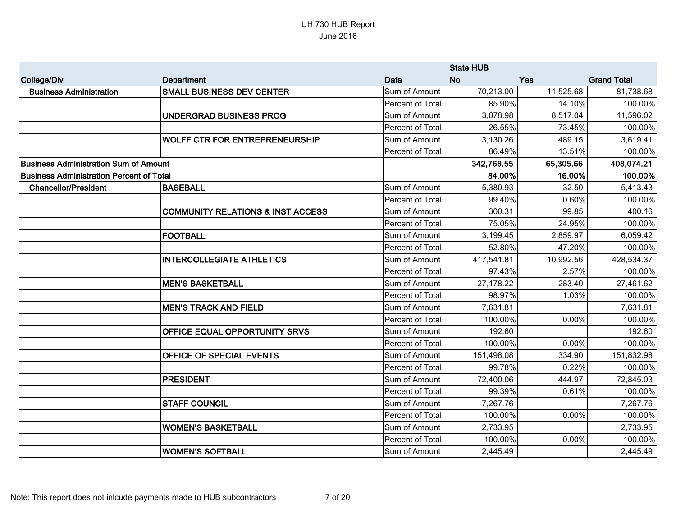|                                                 |                                              | <b>State HUB</b>        |            |           |                    |
|-------------------------------------------------|----------------------------------------------|-------------------------|------------|-----------|--------------------|
| <b>College/Div</b>                              | Department                                   | Data                    | <b>No</b>  | Yes       | <b>Grand Total</b> |
| <b>Business Administration</b>                  | <b>SMALL BUSINESS DEV CENTER</b>             | Sum of Amount           | 70,213.00  | 11,525.68 | 81,738.68          |
|                                                 |                                              | Percent of Total        | 85.90%     | 14.10%    | 100.00%            |
|                                                 | <b>UNDERGRAD BUSINESS PROG</b>               | Sum of Amount           | 3,078.98   | 8,517.04  | 11,596.02          |
|                                                 |                                              | Percent of Total        | 26.55%     | 73.45%    | 100.00%            |
|                                                 | <b>WOLFF CTR FOR ENTREPRENEURSHIP</b>        | Sum of Amount           | 3,130.26   | 489.15    | 3,619.41           |
|                                                 |                                              | Percent of Total        | 86.49%     | 13.51%    | 100.00%            |
| <b>Business Administration Sum of Amount</b>    |                                              |                         | 342,768.55 | 65,305.66 | 408,074.21         |
| <b>Business Administration Percent of Total</b> |                                              |                         | 84.00%     | 16.00%    | 100.00%            |
| <b>Chancellor/President</b>                     | <b>BASEBALL</b>                              | Sum of Amount           | 5,380.93   | 32.50     | 5,413.43           |
|                                                 |                                              | Percent of Total        | 99.40%     | 0.60%     | 100.00%            |
|                                                 | <b>COMMUNITY RELATIONS &amp; INST ACCESS</b> | Sum of Amount           | 300.31     | 99.85     | 400.16             |
|                                                 |                                              | Percent of Total        | 75.05%     | 24.95%    | 100.00%            |
|                                                 | <b>FOOTBALL</b>                              | Sum of Amount           | 3,199.45   | 2,859.97  | 6,059.42           |
|                                                 |                                              | Percent of Total        | 52.80%     | 47.20%    | 100.00%            |
|                                                 | <b>INTERCOLLEGIATE ATHLETICS</b>             | Sum of Amount           | 417,541.81 | 10,992.56 | 428,534.37         |
|                                                 |                                              | Percent of Total        | 97.43%     | 2.57%     | 100.00%            |
|                                                 | <b>MEN'S BASKETBALL</b>                      | Sum of Amount           | 27,178.22  | 283.40    | 27,461.62          |
|                                                 |                                              | Percent of Total        | 98.97%     | 1.03%     | 100.00%            |
|                                                 | <b>IMEN'S TRACK AND FIELD</b>                | Sum of Amount           | 7,631.81   |           | 7,631.81           |
|                                                 |                                              | Percent of Total        | 100.00%    | 0.00%     | 100.00%            |
|                                                 | <b>OFFICE EQUAL OPPORTUNITY SRVS</b>         | Sum of Amount           | 192.60     |           | 192.60             |
|                                                 |                                              | Percent of Total        | 100.00%    | 0.00%     | 100.00%            |
|                                                 | <b>OFFICE OF SPECIAL EVENTS</b>              | Sum of Amount           | 151,498.08 | 334.90    | 151,832.98         |
|                                                 |                                              | Percent of Total        | 99.78%     | 0.22%     | 100.00%            |
|                                                 | <b>PRESIDENT</b>                             | Sum of Amount           | 72,400.06  | 444.97    | 72,845.03          |
|                                                 |                                              | Percent of Total        | 99.39%     | 0.61%     | 100.00%            |
|                                                 | <b>STAFF COUNCIL</b>                         | Sum of Amount           | 7,267.76   |           | 7,267.76           |
|                                                 |                                              | Percent of Total        | 100.00%    | 0.00%     | 100.00%            |
|                                                 | <b>WOMEN'S BASKETBALL</b>                    | Sum of Amount           | 2,733.95   |           | 2,733.95           |
|                                                 |                                              | <b>Percent of Total</b> | 100.00%    | 0.00%     | 100.00%            |
|                                                 | WOMEN'S SOFTBALL                             | Sum of Amount           | 2,445.49   |           | 2,445.49           |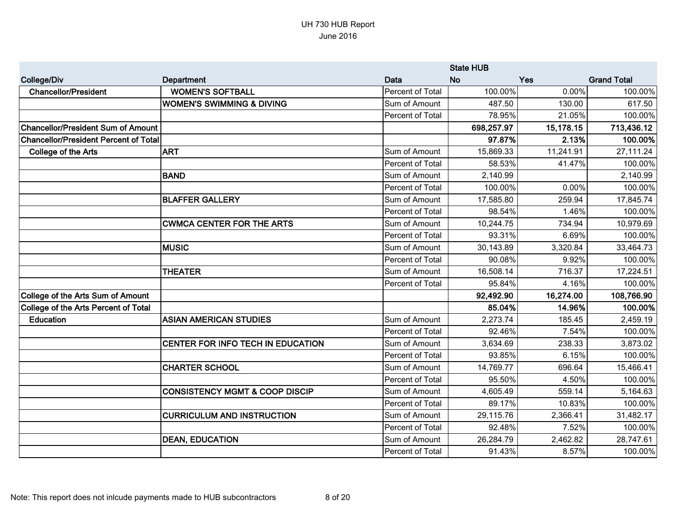|                                              |                                           |                  | <b>State HUB</b> |           |                    |
|----------------------------------------------|-------------------------------------------|------------------|------------------|-----------|--------------------|
| <b>College/Div</b>                           | Department                                | Data             | <b>No</b>        | Yes       | <b>Grand Total</b> |
| <b>Chancellor/President</b>                  | <b>WOMEN'S SOFTBALL</b>                   | Percent of Total | 100.00%          | 0.00%     | 100.00%            |
|                                              | <b>WOMEN'S SWIMMING &amp; DIVING</b>      | Sum of Amount    | 487.50           | 130.00    | 617.50             |
|                                              |                                           | Percent of Total | 78.95%           | 21.05%    | 100.00%            |
| <b>Chancellor/President Sum of Amount</b>    |                                           |                  | 698,257.97       | 15,178.15 | 713,436.12         |
| <b>Chancellor/President Percent of Total</b> |                                           |                  | 97.87%           | 2.13%     | 100.00%            |
| <b>College of the Arts</b>                   | <b>ART</b>                                | Sum of Amount    | 15,869.33        | 11,241.91 | 27,111.24          |
|                                              |                                           | Percent of Total | 58.53%           | 41.47%    | 100.00%            |
|                                              | <b>BAND</b>                               | Sum of Amount    | 2,140.99         |           | 2,140.99           |
|                                              |                                           | Percent of Total | 100.00%          | 0.00%     | 100.00%            |
|                                              | <b>BLAFFER GALLERY</b>                    | Sum of Amount    | 17,585.80        | 259.94    | 17,845.74          |
|                                              |                                           | Percent of Total | 98.54%           | 1.46%     | 100.00%            |
|                                              | <b>CWMCA CENTER FOR THE ARTS</b>          | Sum of Amount    | 10,244.75        | 734.94    | 10,979.69          |
|                                              |                                           | Percent of Total | 93.31%           | 6.69%     | 100.00%            |
|                                              | <b>IMUSIC</b>                             | Sum of Amount    | 30,143.89        | 3,320.84  | 33,464.73          |
|                                              |                                           | Percent of Total | 90.08%           | 9.92%     | 100.00%            |
|                                              | <b>THEATER</b>                            | Sum of Amount    | 16,508.14        | 716.37    | 17,224.51          |
|                                              |                                           | Percent of Total | 95.84%           | 4.16%     | 100.00%            |
| College of the Arts Sum of Amount            |                                           |                  | 92,492.90        | 16,274.00 | 108,766.90         |
| College of the Arts Percent of Total         |                                           |                  | 85.04%           | 14.96%    | 100.00%            |
| Education                                    | <b>ASIAN AMERICAN STUDIES</b>             | Sum of Amount    | 2,273.74         | 185.45    | 2,459.19           |
|                                              |                                           | Percent of Total | 92.46%           | 7.54%     | 100.00%            |
|                                              | CENTER FOR INFO TECH IN EDUCATION         | Sum of Amount    | 3,634.69         | 238.33    | 3,873.02           |
|                                              |                                           | Percent of Total | 93.85%           | 6.15%     | 100.00%            |
|                                              | <b>CHARTER SCHOOL</b>                     | Sum of Amount    | 14,769.77        | 696.64    | 15,466.41          |
|                                              |                                           | Percent of Total | 95.50%           | 4.50%     | 100.00%            |
|                                              | <b>CONSISTENCY MGMT &amp; COOP DISCIP</b> | Sum of Amount    | 4,605.49         | 559.14    | 5,164.63           |
|                                              |                                           | Percent of Total | 89.17%           | 10.83%    | 100.00%            |
|                                              | <b>CURRICULUM AND INSTRUCTION</b>         | Sum of Amount    | 29,115.76        | 2,366.41  | 31,482.17          |
|                                              |                                           | Percent of Total | 92.48%           | 7.52%     | 100.00%            |
|                                              | <b>DEAN, EDUCATION</b>                    | Sum of Amount    | 26,284.79        | 2,462.82  | 28,747.61          |
|                                              |                                           | Percent of Total | 91.43%           | 8.57%     | 100.00%            |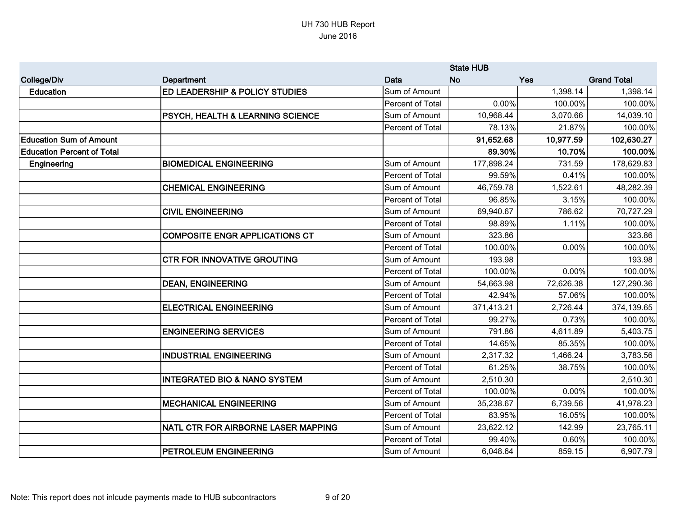|                                   |                                             |                  | <b>State HUB</b> |            |                    |
|-----------------------------------|---------------------------------------------|------------------|------------------|------------|--------------------|
| <b>College/Div</b>                | <b>Department</b>                           | <b>Data</b>      | <b>No</b>        | <b>Yes</b> | <b>Grand Total</b> |
| <b>Education</b>                  | <b>ED LEADERSHIP &amp; POLICY STUDIES</b>   | Sum of Amount    |                  | 1,398.14   | 1,398.14           |
|                                   |                                             | Percent of Total | 0.00%            | 100.00%    | 100.00%            |
|                                   | <b>PSYCH, HEALTH &amp; LEARNING SCIENCE</b> | Sum of Amount    | 10,968.44        | 3,070.66   | 14,039.10          |
|                                   |                                             | Percent of Total | 78.13%           | 21.87%     | 100.00%            |
| <b>Education Sum of Amount</b>    |                                             |                  | 91,652.68        | 10,977.59  | 102,630.27         |
| <b>Education Percent of Total</b> |                                             |                  | 89.30%           | 10.70%     | 100.00%            |
| Engineering                       | <b>BIOMEDICAL ENGINEERING</b>               | Sum of Amount    | 177,898.24       | 731.59     | 178,629.83         |
|                                   |                                             | Percent of Total | 99.59%           | 0.41%      | 100.00%            |
|                                   | <b>CHEMICAL ENGINEERING</b>                 | Sum of Amount    | 46,759.78        | 1,522.61   | 48,282.39          |
|                                   |                                             | Percent of Total | 96.85%           | 3.15%      | 100.00%            |
|                                   | <b>CIVIL ENGINEERING</b>                    | Sum of Amount    | 69,940.67        | 786.62     | 70,727.29          |
|                                   |                                             | Percent of Total | 98.89%           | 1.11%      | 100.00%            |
|                                   | <b>COMPOSITE ENGR APPLICATIONS CT</b>       | Sum of Amount    | 323.86           |            | 323.86             |
|                                   |                                             | Percent of Total | 100.00%          | 0.00%      | 100.00%            |
|                                   | <b>CTR FOR INNOVATIVE GROUTING</b>          | Sum of Amount    | 193.98           |            | 193.98             |
|                                   |                                             | Percent of Total | 100.00%          | 0.00%      | 100.00%            |
|                                   | <b>DEAN, ENGINEERING</b>                    | Sum of Amount    | 54,663.98        | 72,626.38  | 127,290.36         |
|                                   |                                             | Percent of Total | 42.94%           | 57.06%     | 100.00%            |
|                                   | <b>ELECTRICAL ENGINEERING</b>               | Sum of Amount    | 371,413.21       | 2,726.44   | 374,139.65         |
|                                   |                                             | Percent of Total | 99.27%           | 0.73%      | 100.00%            |
|                                   | <b>ENGINEERING SERVICES</b>                 | Sum of Amount    | 791.86           | 4,611.89   | 5,403.75           |
|                                   |                                             | Percent of Total | 14.65%           | 85.35%     | 100.00%            |
|                                   | <b>INDUSTRIAL ENGINEERING</b>               | Sum of Amount    | 2,317.32         | 1,466.24   | 3,783.56           |
|                                   |                                             | Percent of Total | 61.25%           | 38.75%     | 100.00%            |
|                                   | <b>INTEGRATED BIO &amp; NANO SYSTEM</b>     | Sum of Amount    | 2,510.30         |            | 2,510.30           |
|                                   |                                             | Percent of Total | 100.00%          | 0.00%      | 100.00%            |
|                                   | <b>MECHANICAL ENGINEERING</b>               | Sum of Amount    | 35,238.67        | 6,739.56   | 41,978.23          |
|                                   |                                             | Percent of Total | 83.95%           | 16.05%     | 100.00%            |
|                                   | NATL CTR FOR AIRBORNE LASER MAPPING         | Sum of Amount    | 23,622.12        | 142.99     | 23,765.11          |
|                                   |                                             | Percent of Total | 99.40%           | 0.60%      | 100.00%            |
|                                   | <b>IPETROLEUM ENGINEERING</b>               | Sum of Amount    | 6,048.64         | 859.15     | 6,907.79           |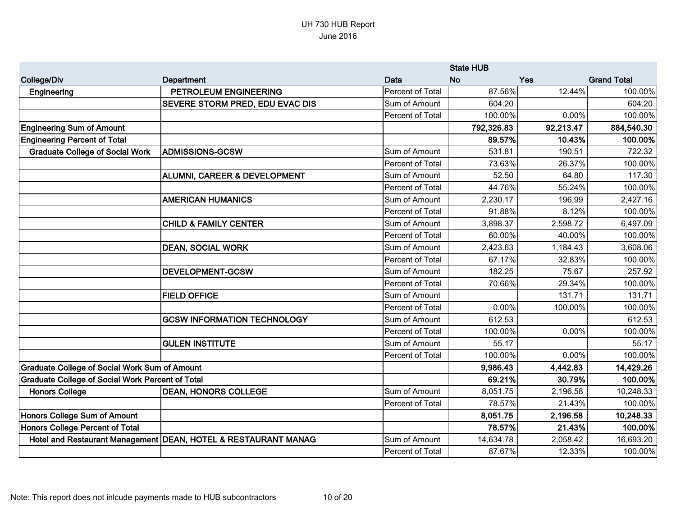|                                                         |                                                                |                  | <b>State HUB</b> |            |                    |
|---------------------------------------------------------|----------------------------------------------------------------|------------------|------------------|------------|--------------------|
| <b>College/Div</b>                                      | Department                                                     | Data             | <b>No</b>        | <b>Yes</b> | <b>Grand Total</b> |
| Engineering                                             | PETROLEUM ENGINEERING                                          | Percent of Total | 87.56%           | 12.44%     | 100.00%            |
|                                                         | SEVERE STORM PRED, EDU EVAC DIS                                | Sum of Amount    | 604.20           |            | 604.20             |
|                                                         |                                                                | Percent of Total | 100.00%          | 0.00%      | 100.00%            |
| <b>Engineering Sum of Amount</b>                        |                                                                |                  | 792,326.83       | 92,213.47  | 884,540.30         |
| <b>Engineering Percent of Total</b>                     |                                                                |                  | 89.57%           | 10.43%     | 100.00%            |
| <b>Graduate College of Social Work</b>                  | <b>ADMISSIONS-GCSW</b>                                         | Sum of Amount    | 531.81           | 190.51     | 722.32             |
|                                                         |                                                                | Percent of Total | 73.63%           | 26.37%     | 100.00%            |
|                                                         | ALUMNI, CAREER & DEVELOPMENT                                   | Sum of Amount    | 52.50            | 64.80      | 117.30             |
|                                                         |                                                                | Percent of Total | 44.76%           | 55.24%     | 100.00%            |
|                                                         | <b>AMERICAN HUMANICS</b>                                       | Sum of Amount    | 2,230.17         | 196.99     | 2,427.16           |
|                                                         |                                                                | Percent of Total | 91.88%           | 8.12%      | 100.00%            |
|                                                         | <b>CHILD &amp; FAMILY CENTER</b>                               | Sum of Amount    | 3,898.37         | 2,598.72   | 6,497.09           |
|                                                         |                                                                | Percent of Total | 60.00%           | 40.00%     | 100.00%            |
|                                                         | <b>DEAN, SOCIAL WORK</b>                                       | Sum of Amount    | 2,423.63         | 1,184.43   | 3,608.06           |
|                                                         |                                                                | Percent of Total | 67.17%           | 32.83%     | 100.00%            |
|                                                         | <b>DEVELOPMENT-GCSW</b>                                        | Sum of Amount    | 182.25           | 75.67      | 257.92             |
|                                                         |                                                                | Percent of Total | 70.66%           | 29.34%     | 100.00%            |
|                                                         | <b>FIELD OFFICE</b>                                            | Sum of Amount    |                  | 131.71     | 131.71             |
|                                                         |                                                                | Percent of Total | 0.00%            | 100.00%    | 100.00%            |
|                                                         | <b>GCSW INFORMATION TECHNOLOGY</b>                             | Sum of Amount    | 612.53           |            | 612.53             |
|                                                         |                                                                | Percent of Total | 100.00%          | 0.00%      | 100.00%            |
|                                                         | <b>GULEN INSTITUTE</b>                                         | Sum of Amount    | 55.17            |            | 55.17              |
|                                                         |                                                                | Percent of Total | 100.00%          | 0.00%      | 100.00%            |
| <b>Graduate College of Social Work Sum of Amount</b>    |                                                                |                  | 9,986.43         | 4,442.83   | 14,429.26          |
| <b>Graduate College of Social Work Percent of Total</b> |                                                                |                  | 69.21%           | 30.79%     | 100.00%            |
| <b>Honors College</b>                                   | <b>DEAN, HONORS COLLEGE</b>                                    | Sum of Amount    | 8,051.75         | 2,196.58   | 10,248.33          |
|                                                         |                                                                | Percent of Total | 78.57%           | 21.43%     | 100.00%            |
| Honors College Sum of Amount                            |                                                                |                  | 8,051.75         | 2,196.58   | 10,248.33          |
| <b>Honors College Percent of Total</b>                  |                                                                |                  | 78.57%           | 21.43%     | 100.00%            |
|                                                         | Hotel and Restaurant Management DEAN, HOTEL & RESTAURANT MANAG | Sum of Amount    | 14,634.78        | 2,058.42   | 16,693.20          |
|                                                         |                                                                | Percent of Total | 87.67%           | 12.33%     | 100.00%            |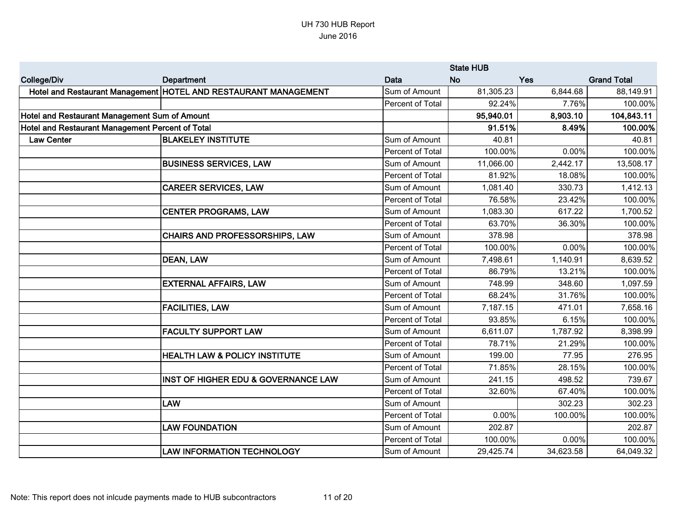|                                                  |                                                                 |                  | <b>State HUB</b> |           |                    |
|--------------------------------------------------|-----------------------------------------------------------------|------------------|------------------|-----------|--------------------|
| <b>College/Div</b>                               | Department                                                      | Data             | <b>No</b>        | Yes       | <b>Grand Total</b> |
|                                                  | Hotel and Restaurant Management HOTEL AND RESTAURANT MANAGEMENT | Sum of Amount    | 81,305.23        | 6,844.68  | 88,149.91          |
|                                                  |                                                                 | Percent of Total | 92.24%           | 7.76%     | 100.00%            |
| Hotel and Restaurant Management Sum of Amount    |                                                                 |                  | 95,940.01        | 8,903.10  | 104,843.11         |
| Hotel and Restaurant Management Percent of Total |                                                                 |                  | 91.51%           | 8.49%     | 100.00%            |
| <b>Law Center</b>                                | <b>BLAKELEY INSTITUTE</b>                                       | Sum of Amount    | 40.81            |           | 40.81              |
|                                                  |                                                                 | Percent of Total | 100.00%          | 0.00%     | 100.00%            |
|                                                  | <b>BUSINESS SERVICES, LAW</b>                                   | Sum of Amount    | 11,066.00        | 2,442.17  | 13,508.17          |
|                                                  |                                                                 | Percent of Total | 81.92%           | 18.08%    | 100.00%            |
|                                                  | <b>CAREER SERVICES, LAW</b>                                     | Sum of Amount    | 1,081.40         | 330.73    | 1,412.13           |
|                                                  |                                                                 | Percent of Total | 76.58%           | 23.42%    | 100.00%            |
|                                                  | <b>CENTER PROGRAMS, LAW</b>                                     | Sum of Amount    | 1,083.30         | 617.22    | 1,700.52           |
|                                                  |                                                                 | Percent of Total | 63.70%           | 36.30%    | 100.00%            |
|                                                  | CHAIRS AND PROFESSORSHIPS, LAW                                  | Sum of Amount    | 378.98           |           | 378.98             |
|                                                  |                                                                 | Percent of Total | 100.00%          | 0.00%     | 100.00%            |
|                                                  | <b>DEAN, LAW</b>                                                | Sum of Amount    | 7,498.61         | 1,140.91  | 8,639.52           |
|                                                  |                                                                 | Percent of Total | 86.79%           | 13.21%    | 100.00%            |
|                                                  | <b>EXTERNAL AFFAIRS, LAW</b>                                    | Sum of Amount    | 748.99           | 348.60    | 1,097.59           |
|                                                  |                                                                 | Percent of Total | 68.24%           | 31.76%    | 100.00%            |
|                                                  | <b>FACILITIES, LAW</b>                                          | Sum of Amount    | 7,187.15         | 471.01    | 7,658.16           |
|                                                  |                                                                 | Percent of Total | 93.85%           | 6.15%     | 100.00%            |
|                                                  | <b>FACULTY SUPPORT LAW</b>                                      | Sum of Amount    | 6,611.07         | 1,787.92  | 8,398.99           |
|                                                  |                                                                 | Percent of Total | 78.71%           | 21.29%    | 100.00%            |
|                                                  | <b>HEALTH LAW &amp; POLICY INSTITUTE</b>                        | Sum of Amount    | 199.00           | 77.95     | 276.95             |
|                                                  |                                                                 | Percent of Total | 71.85%           | 28.15%    | 100.00%            |
|                                                  | <b>INST OF HIGHER EDU &amp; GOVERNANCE LAW</b>                  | Sum of Amount    | 241.15           | 498.52    | 739.67             |
|                                                  |                                                                 | Percent of Total | 32.60%           | 67.40%    | 100.00%            |
|                                                  | <b>LAW</b>                                                      | Sum of Amount    |                  | 302.23    | 302.23             |
|                                                  |                                                                 | Percent of Total | 0.00%            | 100.00%   | 100.00%            |
|                                                  | <b>LAW FOUNDATION</b>                                           | Sum of Amount    | 202.87           |           | 202.87             |
|                                                  |                                                                 | Percent of Total | 100.00%          | 0.00%     | 100.00%            |
|                                                  | <b>LAW INFORMATION TECHNOLOGY</b>                               | Sum of Amount    | 29,425.74        | 34,623.58 | 64,049.32          |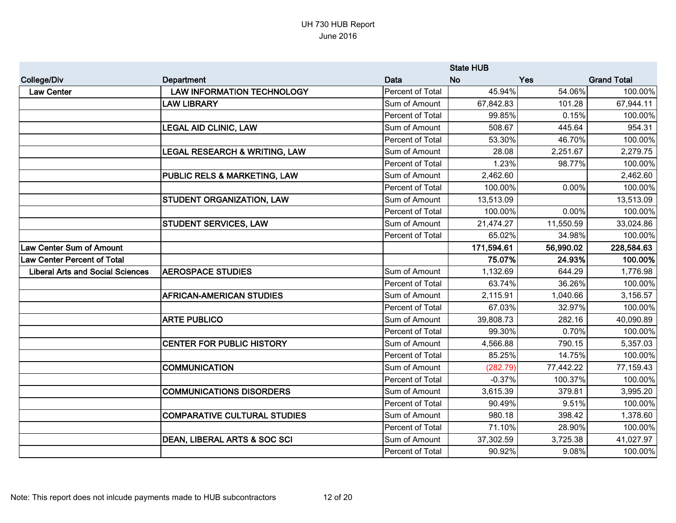|                                         |                                          |                  | <b>State HUB</b> |            |                    |
|-----------------------------------------|------------------------------------------|------------------|------------------|------------|--------------------|
| <b>College/Div</b>                      | <b>Department</b>                        | Data             | <b>No</b>        | <b>Yes</b> | <b>Grand Total</b> |
| <b>Law Center</b>                       | <b>LAW INFORMATION TECHNOLOGY</b>        | Percent of Total | 45.94%           | 54.06%     | 100.00%            |
|                                         | <b>LAW LIBRARY</b>                       | Sum of Amount    | 67,842.83        | 101.28     | 67,944.11          |
|                                         |                                          | Percent of Total | 99.85%           | 0.15%      | 100.00%            |
|                                         | <b>LEGAL AID CLINIC, LAW</b>             | Sum of Amount    | 508.67           | 445.64     | 954.31             |
|                                         |                                          | Percent of Total | 53.30%           | 46.70%     | 100.00%            |
|                                         | <b>LEGAL RESEARCH &amp; WRITING, LAW</b> | Sum of Amount    | 28.08            | 2,251.67   | 2,279.75           |
|                                         |                                          | Percent of Total | 1.23%            | 98.77%     | 100.00%            |
|                                         | PUBLIC RELS & MARKETING, LAW             | Sum of Amount    | 2,462.60         |            | 2,462.60           |
|                                         |                                          | Percent of Total | 100.00%          | 0.00%      | 100.00%            |
|                                         | <b>STUDENT ORGANIZATION, LAW</b>         | Sum of Amount    | 13,513.09        |            | 13,513.09          |
|                                         |                                          | Percent of Total | 100.00%          | 0.00%      | 100.00%            |
|                                         | <b>STUDENT SERVICES, LAW</b>             | Sum of Amount    | 21,474.27        | 11,550.59  | 33,024.86          |
|                                         |                                          | Percent of Total | 65.02%           | 34.98%     | 100.00%            |
| <b>Law Center Sum of Amount</b>         |                                          |                  | 171,594.61       | 56,990.02  | 228,584.63         |
| <b>Law Center Percent of Total</b>      |                                          |                  | 75.07%           | 24.93%     | 100.00%            |
| <b>Liberal Arts and Social Sciences</b> | <b>AEROSPACE STUDIES</b>                 | Sum of Amount    | 1,132.69         | 644.29     | 1,776.98           |
|                                         |                                          | Percent of Total | 63.74%           | 36.26%     | 100.00%            |
|                                         | <b>AFRICAN-AMERICAN STUDIES</b>          | Sum of Amount    | 2,115.91         | 1,040.66   | 3,156.57           |
|                                         |                                          | Percent of Total | 67.03%           | 32.97%     | 100.00%            |
|                                         | <b>ARTE PUBLICO</b>                      | Sum of Amount    | 39,808.73        | 282.16     | 40,090.89          |
|                                         |                                          | Percent of Total | 99.30%           | 0.70%      | 100.00%            |
|                                         | <b>CENTER FOR PUBLIC HISTORY</b>         | Sum of Amount    | 4,566.88         | 790.15     | 5,357.03           |
|                                         |                                          | Percent of Total | 85.25%           | 14.75%     | 100.00%            |
|                                         | <b>COMMUNICATION</b>                     | Sum of Amount    | (282.79)         | 77,442.22  | 77,159.43          |
|                                         |                                          | Percent of Total | $-0.37%$         | 100.37%    | 100.00%            |
|                                         | <b>COMMUNICATIONS DISORDERS</b>          | Sum of Amount    | 3,615.39         | 379.81     | 3,995.20           |
|                                         |                                          | Percent of Total | 90.49%           | 9.51%      | 100.00%            |
|                                         | <b>COMPARATIVE CULTURAL STUDIES</b>      | Sum of Amount    | 980.18           | 398.42     | 1,378.60           |
|                                         |                                          | Percent of Total | 71.10%           | 28.90%     | 100.00%            |
|                                         | DEAN, LIBERAL ARTS & SOC SCI             | Sum of Amount    | 37,302.59        | 3,725.38   | 41,027.97          |
|                                         |                                          | Percent of Total | 90.92%           | 9.08%      | 100.00%            |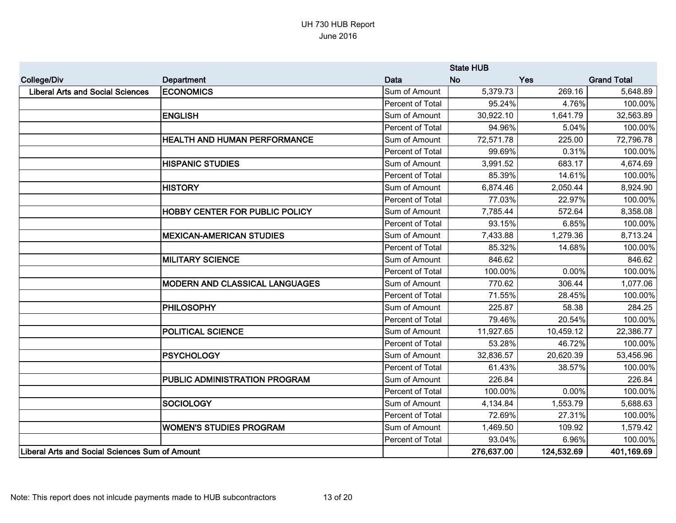|                                                |                                       |                         | <b>State HUB</b> |            |                    |
|------------------------------------------------|---------------------------------------|-------------------------|------------------|------------|--------------------|
| <b>College/Div</b>                             | <b>Department</b>                     | Data                    | <b>No</b>        | <b>Yes</b> | <b>Grand Total</b> |
| <b>Liberal Arts and Social Sciences</b>        | <b>ECONOMICS</b>                      | Sum of Amount           | 5,379.73         | 269.16     | 5,648.89           |
|                                                |                                       | Percent of Total        | 95.24%           | 4.76%      | 100.00%            |
|                                                | <b>ENGLISH</b>                        | Sum of Amount           | 30,922.10        | 1,641.79   | 32,563.89          |
|                                                |                                       | Percent of Total        | 94.96%           | 5.04%      | 100.00%            |
|                                                | <b>HEALTH AND HUMAN PERFORMANCE</b>   | Sum of Amount           | 72,571.78        | 225.00     | 72,796.78          |
|                                                |                                       | Percent of Total        | 99.69%           | 0.31%      | 100.00%            |
|                                                | <b>HISPANIC STUDIES</b>               | Sum of Amount           | 3,991.52         | 683.17     | 4,674.69           |
|                                                |                                       | Percent of Total        | 85.39%           | 14.61%     | 100.00%            |
|                                                | <b>HISTORY</b>                        | Sum of Amount           | 6,874.46         | 2,050.44   | 8,924.90           |
|                                                |                                       | Percent of Total        | 77.03%           | 22.97%     | 100.00%            |
|                                                | <b>HOBBY CENTER FOR PUBLIC POLICY</b> | Sum of Amount           | 7,785.44         | 572.64     | 8,358.08           |
|                                                |                                       | Percent of Total        | 93.15%           | 6.85%      | 100.00%            |
|                                                | <b>MEXICAN-AMERICAN STUDIES</b>       | Sum of Amount           | 7,433.88         | 1,279.36   | 8,713.24           |
|                                                |                                       | <b>Percent of Total</b> | 85.32%           | 14.68%     | 100.00%            |
|                                                | <b>MILITARY SCIENCE</b>               | Sum of Amount           | 846.62           |            | 846.62             |
|                                                |                                       | Percent of Total        | 100.00%          | 0.00%      | 100.00%            |
|                                                | <b>MODERN AND CLASSICAL LANGUAGES</b> | Sum of Amount           | 770.62           | 306.44     | 1,077.06           |
|                                                |                                       | Percent of Total        | 71.55%           | 28.45%     | 100.00%            |
|                                                | <b>PHILOSOPHY</b>                     | Sum of Amount           | 225.87           | 58.38      | 284.25             |
|                                                |                                       | Percent of Total        | 79.46%           | 20.54%     | 100.00%            |
|                                                | <b>POLITICAL SCIENCE</b>              | Sum of Amount           | 11,927.65        | 10,459.12  | 22,386.77          |
|                                                |                                       | Percent of Total        | 53.28%           | 46.72%     | 100.00%            |
|                                                | <b>PSYCHOLOGY</b>                     | Sum of Amount           | 32,836.57        | 20,620.39  | 53,456.96          |
|                                                |                                       | Percent of Total        | 61.43%           | 38.57%     | 100.00%            |
|                                                | PUBLIC ADMINISTRATION PROGRAM         | Sum of Amount           | 226.84           |            | 226.84             |
|                                                |                                       | Percent of Total        | 100.00%          | 0.00%      | 100.00%            |
|                                                | <b>SOCIOLOGY</b>                      | Sum of Amount           | 4,134.84         | 1,553.79   | 5,688.63           |
|                                                |                                       | Percent of Total        | 72.69%           | 27.31%     | 100.00%            |
|                                                | <b>WOMEN'S STUDIES PROGRAM</b>        | Sum of Amount           | 1,469.50         | 109.92     | 1,579.42           |
|                                                |                                       | Percent of Total        | 93.04%           | 6.96%      | 100.00%            |
| Liberal Arts and Social Sciences Sum of Amount |                                       |                         | 276,637.00       | 124,532.69 | 401,169.69         |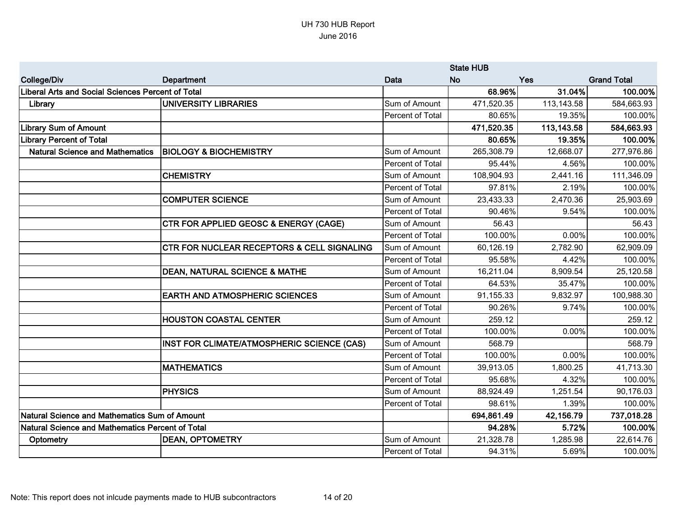|                                                   |                                                       | <b>State HUB</b> |            |            |                    |
|---------------------------------------------------|-------------------------------------------------------|------------------|------------|------------|--------------------|
| <b>College/Div</b>                                | Department                                            | <b>Data</b>      | <b>No</b>  | Yes        | <b>Grand Total</b> |
| Liberal Arts and Social Sciences Percent of Total |                                                       |                  | 68.96%     | 31.04%     | 100.00%            |
| Library                                           | UNIVERSITY LIBRARIES                                  | Sum of Amount    | 471,520.35 | 113,143.58 | 584,663.93         |
|                                                   |                                                       | Percent of Total | 80.65%     | 19.35%     | 100.00%            |
| <b>Library Sum of Amount</b>                      |                                                       |                  | 471,520.35 | 113,143.58 | 584,663.93         |
| <b>Library Percent of Total</b>                   |                                                       |                  | 80.65%     | 19.35%     | 100.00%            |
| <b>Natural Science and Mathematics</b>            | <b>BIOLOGY &amp; BIOCHEMISTRY</b>                     | Sum of Amount    | 265,308.79 | 12,668.07  | 277,976.86         |
|                                                   |                                                       | Percent of Total | 95.44%     | 4.56%      | 100.00%            |
|                                                   | <b>CHEMISTRY</b>                                      | Sum of Amount    | 108,904.93 | 2,441.16   | 111,346.09         |
|                                                   |                                                       | Percent of Total | 97.81%     | 2.19%      | 100.00%            |
|                                                   | <b>COMPUTER SCIENCE</b>                               | Sum of Amount    | 23,433.33  | 2,470.36   | 25,903.69          |
|                                                   |                                                       | Percent of Total | 90.46%     | 9.54%      | 100.00%            |
|                                                   | CTR FOR APPLIED GEOSC & ENERGY (CAGE)                 | Sum of Amount    | 56.43      |            | 56.43              |
|                                                   |                                                       | Percent of Total | 100.00%    | 0.00%      | 100.00%            |
|                                                   | <b>CTR FOR NUCLEAR RECEPTORS &amp; CELL SIGNALING</b> | Sum of Amount    | 60,126.19  | 2,782.90   | 62,909.09          |
|                                                   |                                                       | Percent of Total | 95.58%     | 4.42%      | 100.00%            |
|                                                   | <b>DEAN, NATURAL SCIENCE &amp; MATHE</b>              | Sum of Amount    | 16,211.04  | 8,909.54   | 25,120.58          |
|                                                   |                                                       | Percent of Total | 64.53%     | 35.47%     | 100.00%            |
|                                                   | <b>EARTH AND ATMOSPHERIC SCIENCES</b>                 | Sum of Amount    | 91,155.33  | 9,832.97   | 100,988.30         |
|                                                   |                                                       | Percent of Total | 90.26%     | 9.74%      | 100.00%            |
|                                                   | <b>HOUSTON COASTAL CENTER</b>                         | Sum of Amount    | 259.12     |            | 259.12             |
|                                                   |                                                       | Percent of Total | 100.00%    | 0.00%      | 100.00%            |
|                                                   | INST FOR CLIMATE/ATMOSPHERIC SCIENCE (CAS)            | Sum of Amount    | 568.79     |            | 568.79             |
|                                                   |                                                       | Percent of Total | 100.00%    | 0.00%      | 100.00%            |
|                                                   | <b>MATHEMATICS</b>                                    | Sum of Amount    | 39,913.05  | 1,800.25   | 41,713.30          |
|                                                   |                                                       | Percent of Total | 95.68%     | 4.32%      | 100.00%            |
|                                                   | <b>PHYSICS</b>                                        | Sum of Amount    | 88,924.49  | 1,251.54   | 90,176.03          |
|                                                   |                                                       | Percent of Total | 98.61%     | 1.39%      | 100.00%            |
| Natural Science and Mathematics Sum of Amount     |                                                       |                  | 694,861.49 | 42,156.79  | 737,018.28         |
| Natural Science and Mathematics Percent of Total  |                                                       |                  | 94.28%     | 5.72%      | 100.00%            |
| Optometry                                         | <b>DEAN, OPTOMETRY</b>                                | Sum of Amount    | 21,328.78  | 1,285.98   | 22,614.76          |
|                                                   |                                                       | Percent of Total | 94.31%     | 5.69%      | 100.00%            |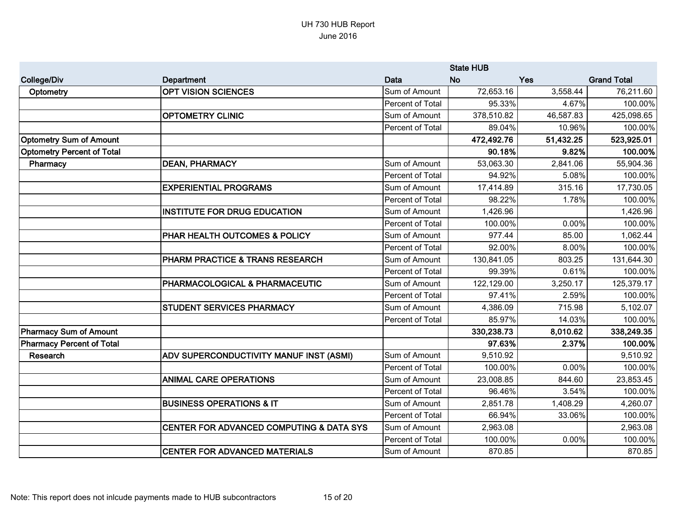|                                   |                                          | <b>State HUB</b> |            |           |                    |
|-----------------------------------|------------------------------------------|------------------|------------|-----------|--------------------|
| <b>College/Div</b>                | Department                               | Data             | <b>No</b>  | Yes       | <b>Grand Total</b> |
| Optometry                         | <b>OPT VISION SCIENCES</b>               | Sum of Amount    | 72,653.16  | 3,558.44  | 76,211.60          |
|                                   |                                          | Percent of Total | 95.33%     | 4.67%     | 100.00%            |
|                                   | <b>OPTOMETRY CLINIC</b>                  | Sum of Amount    | 378,510.82 | 46,587.83 | 425,098.65         |
|                                   |                                          | Percent of Total | 89.04%     | 10.96%    | 100.00%            |
| <b>Optometry Sum of Amount</b>    |                                          |                  | 472,492.76 | 51,432.25 | 523,925.01         |
| <b>Optometry Percent of Total</b> |                                          |                  | 90.18%     | 9.82%     | 100.00%            |
| Pharmacy                          | <b>DEAN, PHARMACY</b>                    | Sum of Amount    | 53,063.30  | 2,841.06  | 55,904.36          |
|                                   |                                          | Percent of Total | 94.92%     | 5.08%     | 100.00%            |
|                                   | <b>EXPERIENTIAL PROGRAMS</b>             | Sum of Amount    | 17,414.89  | 315.16    | 17,730.05          |
|                                   |                                          | Percent of Total | 98.22%     | 1.78%     | 100.00%            |
|                                   | <b>INSTITUTE FOR DRUG EDUCATION</b>      | Sum of Amount    | 1,426.96   |           | 1,426.96           |
|                                   |                                          | Percent of Total | 100.00%    | 0.00%     | 100.00%            |
|                                   | PHAR HEALTH OUTCOMES & POLICY            | Sum of Amount    | 977.44     | 85.00     | 1,062.44           |
|                                   |                                          | Percent of Total | 92.00%     | 8.00%     | 100.00%            |
|                                   | PHARM PRACTICE & TRANS RESEARCH          | Sum of Amount    | 130,841.05 | 803.25    | 131,644.30         |
|                                   |                                          | Percent of Total | 99.39%     | 0.61%     | 100.00%            |
|                                   | PHARMACOLOGICAL & PHARMACEUTIC           | Sum of Amount    | 122,129.00 | 3,250.17  | 125,379.17         |
|                                   |                                          | Percent of Total | 97.41%     | 2.59%     | 100.00%            |
|                                   | <b>STUDENT SERVICES PHARMACY</b>         | Sum of Amount    | 4,386.09   | 715.98    | 5,102.07           |
|                                   |                                          | Percent of Total | 85.97%     | 14.03%    | 100.00%            |
| <b>Pharmacy Sum of Amount</b>     |                                          |                  | 330,238.73 | 8,010.62  | 338,249.35         |
| <b>Pharmacy Percent of Total</b>  |                                          |                  | 97.63%     | 2.37%     | 100.00%            |
| Research                          | ADV SUPERCONDUCTIVITY MANUF INST (ASMI)  | Sum of Amount    | 9,510.92   |           | 9,510.92           |
|                                   |                                          | Percent of Total | 100.00%    | 0.00%     | 100.00%            |
|                                   | <b>ANIMAL CARE OPERATIONS</b>            | Sum of Amount    | 23,008.85  | 844.60    | 23,853.45          |
|                                   |                                          | Percent of Total | 96.46%     | 3.54%     | 100.00%            |
|                                   | <b>BUSINESS OPERATIONS &amp; IT</b>      | Sum of Amount    | 2,851.78   | 1,408.29  | 4,260.07           |
|                                   |                                          | Percent of Total | 66.94%     | 33.06%    | 100.00%            |
|                                   | CENTER FOR ADVANCED COMPUTING & DATA SYS | Sum of Amount    | 2,963.08   |           | 2,963.08           |
|                                   |                                          | Percent of Total | 100.00%    | 0.00%     | 100.00%            |
|                                   | <b>CENTER FOR ADVANCED MATERIALS</b>     | Sum of Amount    | 870.85     |           | 870.85             |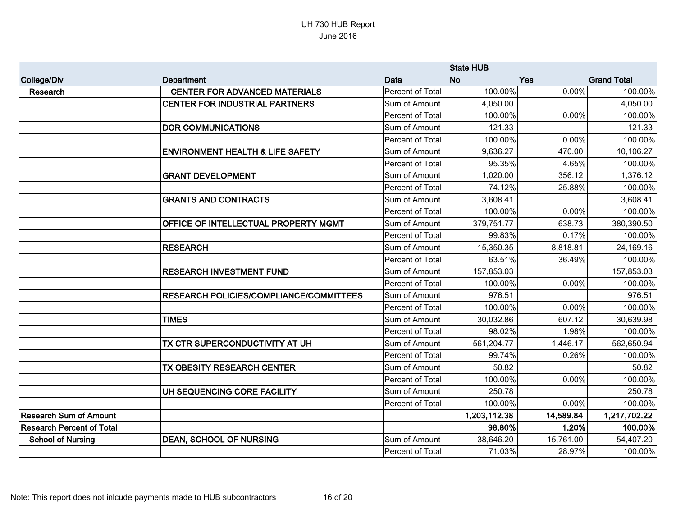|                                  |                                                | <b>State HUB</b> |              |           |                    |
|----------------------------------|------------------------------------------------|------------------|--------------|-----------|--------------------|
| <b>College/Div</b>               | <b>Department</b>                              | Data             | <b>No</b>    | Yes       | <b>Grand Total</b> |
| Research                         | <b>CENTER FOR ADVANCED MATERIALS</b>           | Percent of Total | 100.00%      | 0.00%     | 100.00%            |
|                                  | <b>CENTER FOR INDUSTRIAL PARTNERS</b>          | Sum of Amount    | 4,050.00     |           | 4,050.00           |
|                                  |                                                | Percent of Total | 100.00%      | 0.00%     | 100.00%            |
|                                  | <b>DOR COMMUNICATIONS</b>                      | Sum of Amount    | 121.33       |           | 121.33             |
|                                  |                                                | Percent of Total | 100.00%      | 0.00%     | 100.00%            |
|                                  | <b>ENVIRONMENT HEALTH &amp; LIFE SAFETY</b>    | Sum of Amount    | 9,636.27     | 470.00    | 10,106.27          |
|                                  |                                                | Percent of Total | 95.35%       | 4.65%     | 100.00%            |
|                                  | <b>GRANT DEVELOPMENT</b>                       | Sum of Amount    | 1,020.00     | 356.12    | 1,376.12           |
|                                  |                                                | Percent of Total | 74.12%       | 25.88%    | 100.00%            |
|                                  | <b>GRANTS AND CONTRACTS</b>                    | Sum of Amount    | 3,608.41     |           | 3,608.41           |
|                                  |                                                | Percent of Total | 100.00%      | 0.00%     | 100.00%            |
|                                  | OFFICE OF INTELLECTUAL PROPERTY MGMT           | Sum of Amount    | 379,751.77   | 638.73    | 380,390.50         |
|                                  |                                                | Percent of Total | 99.83%       | 0.17%     | 100.00%            |
|                                  | <b>RESEARCH</b>                                | Sum of Amount    | 15,350.35    | 8,818.81  | 24,169.16          |
|                                  |                                                | Percent of Total | 63.51%       | 36.49%    | 100.00%            |
|                                  | <b>RESEARCH INVESTMENT FUND</b>                | Sum of Amount    | 157,853.03   |           | 157,853.03         |
|                                  |                                                | Percent of Total | 100.00%      | 0.00%     | 100.00%            |
|                                  | <b>RESEARCH POLICIES/COMPLIANCE/COMMITTEES</b> | Sum of Amount    | 976.51       |           | 976.51             |
|                                  |                                                | Percent of Total | 100.00%      | 0.00%     | 100.00%            |
|                                  | <b>TIMES</b>                                   | Sum of Amount    | 30,032.86    | 607.12    | 30,639.98          |
|                                  |                                                | Percent of Total | 98.02%       | 1.98%     | 100.00%            |
|                                  | TX CTR SUPERCONDUCTIVITY AT UH                 | Sum of Amount    | 561,204.77   | 1,446.17  | 562,650.94         |
|                                  |                                                | Percent of Total | 99.74%       | 0.26%     | 100.00%            |
|                                  | TX OBESITY RESEARCH CENTER                     | Sum of Amount    | 50.82        |           | 50.82              |
|                                  |                                                | Percent of Total | 100.00%      | 0.00%     | 100.00%            |
|                                  | UH SEQUENCING CORE FACILITY                    | Sum of Amount    | 250.78       |           | 250.78             |
|                                  |                                                | Percent of Total | 100.00%      | 0.00%     | 100.00%            |
| <b>Research Sum of Amount</b>    |                                                |                  | 1,203,112.38 | 14,589.84 | 1,217,702.22       |
| <b>Research Percent of Total</b> |                                                |                  | 98.80%       | 1.20%     | 100.00%            |
| <b>School of Nursing</b>         | <b>DEAN, SCHOOL OF NURSING</b>                 | Sum of Amount    | 38,646.20    | 15,761.00 | 54,407.20          |
|                                  |                                                | Percent of Total | 71.03%       | 28.97%    | 100.00%            |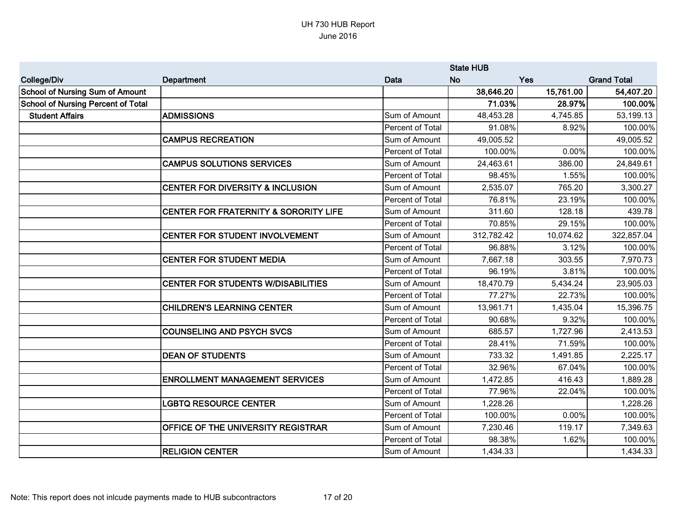|                                           |                                                  | <b>State HUB</b>        |            |           |                    |
|-------------------------------------------|--------------------------------------------------|-------------------------|------------|-----------|--------------------|
| <b>College/Div</b>                        | Department                                       | <b>Data</b>             | No.        | Yes       | <b>Grand Total</b> |
| <b>School of Nursing Sum of Amount</b>    |                                                  |                         | 38,646.20  | 15,761.00 | 54,407.20          |
| <b>School of Nursing Percent of Total</b> |                                                  |                         | 71.03%     | 28.97%    | 100.00%            |
| <b>Student Affairs</b>                    | <b>ADMISSIONS</b>                                | Sum of Amount           | 48,453.28  | 4,745.85  | 53,199.13          |
|                                           |                                                  | Percent of Total        | 91.08%     | 8.92%     | 100.00%            |
|                                           | <b>CAMPUS RECREATION</b>                         | Sum of Amount           | 49,005.52  |           | 49,005.52          |
|                                           |                                                  | Percent of Total        | 100.00%    | 0.00%     | 100.00%            |
|                                           | <b>CAMPUS SOLUTIONS SERVICES</b>                 | Sum of Amount           | 24,463.61  | 386.00    | 24,849.61          |
|                                           |                                                  | Percent of Total        | 98.45%     | 1.55%     | 100.00%            |
|                                           | <b>CENTER FOR DIVERSITY &amp; INCLUSION</b>      | Sum of Amount           | 2,535.07   | 765.20    | 3,300.27           |
|                                           |                                                  | Percent of Total        | 76.81%     | 23.19%    | 100.00%            |
|                                           | <b>CENTER FOR FRATERNITY &amp; SORORITY LIFE</b> | Sum of Amount           | 311.60     | 128.18    | 439.78             |
|                                           |                                                  | Percent of Total        | 70.85%     | 29.15%    | 100.00%            |
|                                           | <b>CENTER FOR STUDENT INVOLVEMENT</b>            | Sum of Amount           | 312,782.42 | 10,074.62 | 322,857.04         |
|                                           |                                                  | Percent of Total        | 96.88%     | 3.12%     | 100.00%            |
|                                           | <b>CENTER FOR STUDENT MEDIA</b>                  | Sum of Amount           | 7,667.18   | 303.55    | 7,970.73           |
|                                           |                                                  | <b>Percent of Total</b> | 96.19%     | 3.81%     | 100.00%            |
|                                           | <b>CENTER FOR STUDENTS W/DISABILITIES</b>        | Sum of Amount           | 18,470.79  | 5,434.24  | 23,905.03          |
|                                           |                                                  | Percent of Total        | 77.27%     | 22.73%    | 100.00%            |
|                                           | <b>CHILDREN'S LEARNING CENTER</b>                | Sum of Amount           | 13,961.71  | 1,435.04  | 15,396.75          |
|                                           |                                                  | Percent of Total        | 90.68%     | 9.32%     | 100.00%            |
|                                           | <b>COUNSELING AND PSYCH SVCS</b>                 | Sum of Amount           | 685.57     | 1,727.96  | 2,413.53           |
|                                           |                                                  | Percent of Total        | 28.41%     | 71.59%    | 100.00%            |
|                                           | <b>DEAN OF STUDENTS</b>                          | Sum of Amount           | 733.32     | 1,491.85  | 2,225.17           |
|                                           |                                                  | Percent of Total        | 32.96%     | 67.04%    | 100.00%            |
|                                           | <b>ENROLLMENT MANAGEMENT SERVICES</b>            | Sum of Amount           | 1,472.85   | 416.43    | 1,889.28           |
|                                           |                                                  | Percent of Total        | 77.96%     | 22.04%    | 100.00%            |
|                                           | <b>LGBTQ RESOURCE CENTER</b>                     | Sum of Amount           | 1,228.26   |           | 1,228.26           |
|                                           |                                                  | Percent of Total        | 100.00%    | 0.00%     | 100.00%            |
|                                           | OFFICE OF THE UNIVERSITY REGISTRAR               | Sum of Amount           | 7,230.46   | 119.17    | 7,349.63           |
|                                           |                                                  | Percent of Total        | 98.38%     | 1.62%     | 100.00%            |
|                                           | <b>RELIGION CENTER</b>                           | Sum of Amount           | 1,434.33   |           | 1,434.33           |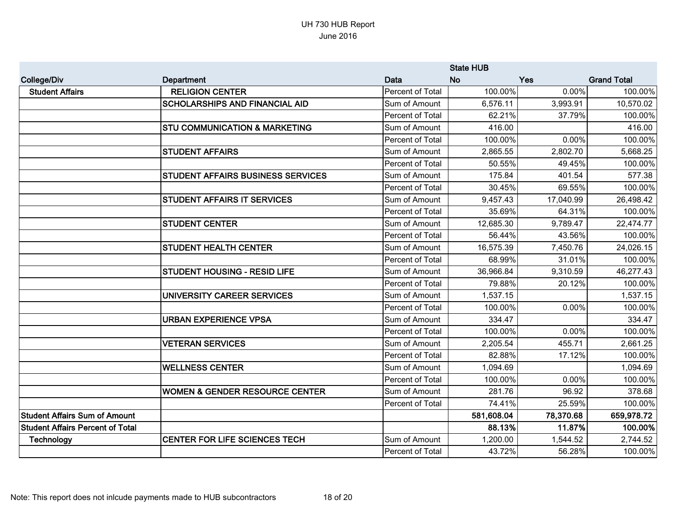|                                         |                                           |                         | <b>State HUB</b> |           |                    |
|-----------------------------------------|-------------------------------------------|-------------------------|------------------|-----------|--------------------|
| <b>College/Div</b>                      | <b>Department</b>                         | Data                    | <b>No</b>        | Yes       | <b>Grand Total</b> |
| <b>Student Affairs</b>                  | <b>RELIGION CENTER</b>                    | Percent of Total        | 100.00%          | 0.00%     | 100.00%            |
|                                         | <b>SCHOLARSHIPS AND FINANCIAL AID</b>     | Sum of Amount           | 6,576.11         | 3,993.91  | 10,570.02          |
|                                         |                                           | Percent of Total        | 62.21%           | 37.79%    | 100.00%            |
|                                         | <b>STU COMMUNICATION &amp; MARKETING</b>  | Sum of Amount           | 416.00           |           | 416.00             |
|                                         |                                           | <b>Percent of Total</b> | 100.00%          | 0.00%     | 100.00%            |
|                                         | <b>STUDENT AFFAIRS</b>                    | Sum of Amount           | 2,865.55         | 2,802.70  | 5,668.25           |
|                                         |                                           | <b>Percent of Total</b> | 50.55%           | 49.45%    | 100.00%            |
|                                         | STUDENT AFFAIRS BUSINESS SERVICES         | Sum of Amount           | 175.84           | 401.54    | 577.38             |
|                                         |                                           | Percent of Total        | 30.45%           | 69.55%    | 100.00%            |
|                                         | <b>STUDENT AFFAIRS IT SERVICES</b>        | Sum of Amount           | 9,457.43         | 17,040.99 | 26,498.42          |
|                                         |                                           | Percent of Total        | 35.69%           | 64.31%    | 100.00%            |
|                                         | <b>STUDENT CENTER</b>                     | Sum of Amount           | 12,685.30        | 9,789.47  | 22,474.77          |
|                                         |                                           | Percent of Total        | 56.44%           | 43.56%    | 100.00%            |
|                                         | <b>STUDENT HEALTH CENTER</b>              | Sum of Amount           | 16,575.39        | 7,450.76  | 24,026.15          |
|                                         |                                           | Percent of Total        | 68.99%           | 31.01%    | 100.00%            |
|                                         | <b>STUDENT HOUSING - RESID LIFE</b>       | Sum of Amount           | 36,966.84        | 9,310.59  | 46,277.43          |
|                                         |                                           | Percent of Total        | 79.88%           | 20.12%    | 100.00%            |
|                                         | UNIVERSITY CAREER SERVICES                | Sum of Amount           | 1,537.15         |           | 1,537.15           |
|                                         |                                           | Percent of Total        | 100.00%          | 0.00%     | 100.00%            |
|                                         | <b>URBAN EXPERIENCE VPSA</b>              | Sum of Amount           | 334.47           |           | 334.47             |
|                                         |                                           | Percent of Total        | 100.00%          | 0.00%     | 100.00%            |
|                                         | <b>VETERAN SERVICES</b>                   | Sum of Amount           | 2,205.54         | 455.71    | 2,661.25           |
|                                         |                                           | Percent of Total        | 82.88%           | 17.12%    | 100.00%            |
|                                         | <b>WELLNESS CENTER</b>                    | Sum of Amount           | 1,094.69         |           | 1,094.69           |
|                                         |                                           | Percent of Total        | 100.00%          | 0.00%     | 100.00%            |
|                                         | <b>WOMEN &amp; GENDER RESOURCE CENTER</b> | Sum of Amount           | 281.76           | 96.92     | 378.68             |
|                                         |                                           | Percent of Total        | 74.41%           | 25.59%    | 100.00%            |
| <b>Student Affairs Sum of Amount</b>    |                                           |                         | 581,608.04       | 78,370.68 | 659,978.72         |
| <b>Student Affairs Percent of Total</b> |                                           |                         | 88.13%           | 11.87%    | 100.00%            |
| Technology                              | <b>CENTER FOR LIFE SCIENCES TECH</b>      | Sum of Amount           | 1,200.00         | 1,544.52  | 2,744.52           |
|                                         |                                           | Percent of Total        | 43.72%           | 56.28%    | 100.00%            |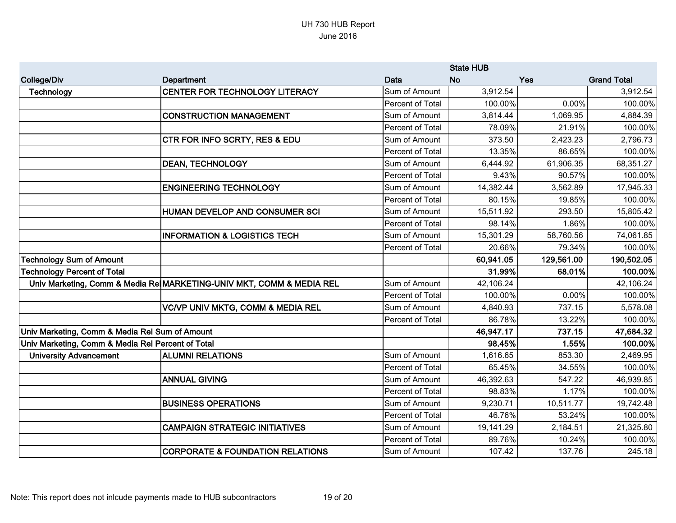|                                                   |                                                                      | <b>State HUB</b>        |           |            |                    |
|---------------------------------------------------|----------------------------------------------------------------------|-------------------------|-----------|------------|--------------------|
| <b>College/Div</b>                                | Department                                                           | Data                    | <b>No</b> | Yes        | <b>Grand Total</b> |
| Technology                                        | CENTER FOR TECHNOLOGY LITERACY                                       | Sum of Amount           | 3,912.54  |            | 3,912.54           |
|                                                   |                                                                      | <b>Percent of Total</b> | 100.00%   | 0.00%      | 100.00%            |
|                                                   | <b>CONSTRUCTION MANAGEMENT</b>                                       | Sum of Amount           | 3,814.44  | 1,069.95   | 4,884.39           |
|                                                   |                                                                      | Percent of Total        | 78.09%    | 21.91%     | 100.00%            |
|                                                   | <b>CTR FOR INFO SCRTY, RES &amp; EDU</b>                             | Sum of Amount           | 373.50    | 2,423.23   | 2,796.73           |
|                                                   |                                                                      | Percent of Total        | 13.35%    | 86.65%     | 100.00%            |
|                                                   | <b>DEAN, TECHNOLOGY</b>                                              | Sum of Amount           | 6,444.92  | 61,906.35  | 68,351.27          |
|                                                   |                                                                      | Percent of Total        | 9.43%     | 90.57%     | 100.00%            |
|                                                   | <b>ENGINEERING TECHNOLOGY</b>                                        | Sum of Amount           | 14,382.44 | 3,562.89   | 17,945.33          |
|                                                   |                                                                      | Percent of Total        | 80.15%    | 19.85%     | 100.00%            |
|                                                   | HUMAN DEVELOP AND CONSUMER SCI                                       | Sum of Amount           | 15,511.92 | 293.50     | 15,805.42          |
|                                                   |                                                                      | Percent of Total        | 98.14%    | 1.86%      | 100.00%            |
|                                                   | <b>INFORMATION &amp; LOGISTICS TECH</b>                              | Sum of Amount           | 15,301.29 | 58,760.56  | 74,061.85          |
|                                                   |                                                                      | Percent of Total        | 20.66%    | 79.34%     | 100.00%            |
| <b>Technology Sum of Amount</b>                   |                                                                      |                         | 60,941.05 | 129,561.00 | 190,502.05         |
| <b>Technology Percent of Total</b>                |                                                                      |                         | 31.99%    | 68.01%     | 100.00%            |
|                                                   | Univ Marketing, Comm & Media Re MARKETING-UNIV MKT, COMM & MEDIA REL | Sum of Amount           | 42,106.24 |            | 42,106.24          |
|                                                   |                                                                      | Percent of Total        | 100.00%   | 0.00%      | 100.00%            |
|                                                   | <b>VC/VP UNIV MKTG, COMM &amp; MEDIA REL</b>                         | Sum of Amount           | 4,840.93  | 737.15     | 5,578.08           |
|                                                   |                                                                      | Percent of Total        | 86.78%    | 13.22%     | 100.00%            |
| Univ Marketing, Comm & Media Rel Sum of Amount    |                                                                      |                         | 46,947.17 | 737.15     | 47,684.32          |
| Univ Marketing, Comm & Media Rel Percent of Total |                                                                      |                         | 98.45%    | 1.55%      | 100.00%            |
| <b>University Advancement</b>                     | <b>ALUMNI RELATIONS</b>                                              | Sum of Amount           | 1,616.65  | 853.30     | 2,469.95           |
|                                                   |                                                                      | Percent of Total        | 65.45%    | 34.55%     | 100.00%            |
|                                                   | <b>ANNUAL GIVING</b>                                                 | Sum of Amount           | 46,392.63 | 547.22     | 46,939.85          |
|                                                   |                                                                      | Percent of Total        | 98.83%    | 1.17%      | 100.00%            |
|                                                   | <b>BUSINESS OPERATIONS</b>                                           | Sum of Amount           | 9,230.71  | 10,511.77  | 19,742.48          |
|                                                   |                                                                      | Percent of Total        | 46.76%    | 53.24%     | 100.00%            |
|                                                   | <b>CAMPAIGN STRATEGIC INITIATIVES</b>                                | Sum of Amount           | 19,141.29 | 2,184.51   | 21,325.80          |
|                                                   |                                                                      | Percent of Total        | 89.76%    | 10.24%     | 100.00%            |
|                                                   | <b>CORPORATE &amp; FOUNDATION RELATIONS</b>                          | Sum of Amount           | 107.42    | 137.76     | 245.18             |